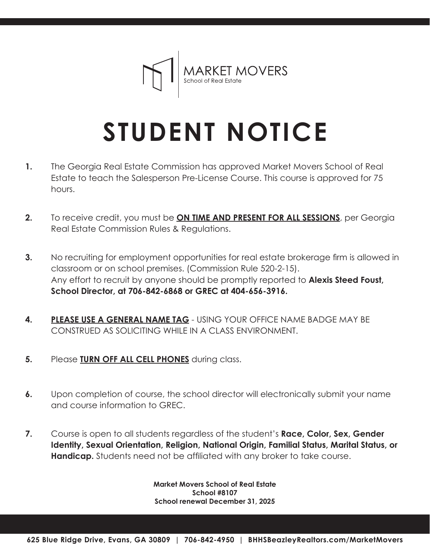

## **STUDENT NOTICE**

- The Georgia Real Estate Commission has approved Market Movers School of Real Estate to teach the Salesperson Pre-License Course. This course is approved for 75 hours. **1.**
- **2.** To receive credit, you must be **ON TIME AND PRESENT FOR ALL SESSIONS**, per Georgia Real Estate Commission Rules & Regulations.
- **3.** No recruiting for employment opportunities for real estate brokerage firm is allowed in classroom or on school premises. (Commission Rule 520-2-15). Any effort to recruit by anyone should be promptly reported to **Alexis Steed Foust, School Director, at 706-842-6868 or GREC at 404-656-3916.**
- **4. PLEASE USE A GENERAL NAME TAG** USING YOUR OFFICE NAME BADGE MAY BE CONSTRUED AS SOLICITING WHILE IN A CLASS ENVIRONMENT.
- **5.** Please **TURN OFF ALL CELL PHONES** during class.
- **6.** Upon completion of course, the school director will electronically submit your name and course information to GREC.
- **7.** Course is open to all students regardless of the student's **Race, Color, Sex, Gender Identity, Sexual Orientation, Religion, National Origin, Familial Status, Marital Status, or Handicap.** Students need not be affiliated with any broker to take course.

**Market Movers School of Real Estate School #8107 School renewal December 31, 2025**